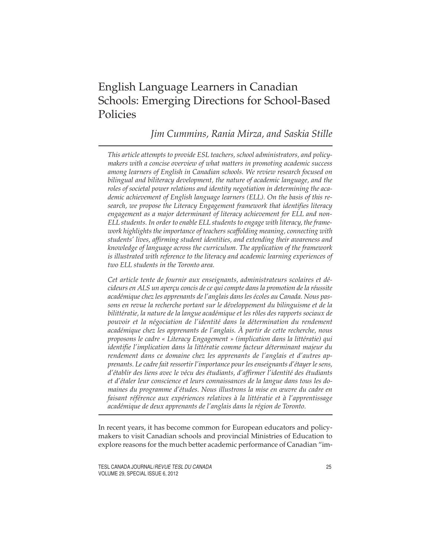# English Language Learners in Canadian Schools: Emerging Directions for School-Based Policies

# *Jim Cummins, Rania Mirza, and Saskia Stille*

*This article attempts to provide ESL teachers, school administrators, and policymakers with a concise overview of what matters in promoting academic success among learners of English in Canadian schools. We review research focused on bilingual and biliteracy development, the nature of academic language, and the roles of societal power relations and identity negotiation in determining the academic achievement of English language learners (ELL). On the basis of this research, we propose the Literacy Engagement framework that identifies literacy engagement as a major determinant of literacy achievement for ELL and non-ELL students. In order to enable ELL students to engage with literacy, the framework highlights the importance of teachers scaffolding meaning, connecting with students' lives, affirming student identities, and extending their awareness and knowledge of language across the curriculum. The application of the framework is illustrated with reference to the literacy and academic learning experiences of two ELL students in the Toronto area.*

*Cet article tente de fournir aux enseignants, administrateurs scolaires et décideurs en ALS un aperçu concis de ce qui compte dans la promotion de la réussite académique chez les apprenants de l'anglais dans les écoles au Canada. Nous passons en revue la recherche portant sur le développement du bilinguisme et de la bilittératie, la nature de la langue académique et les rôles des rapports sociaux de pouvoir et la négociation de l'identité dans la détermination du rendement académique chez les apprenants de l'anglais. À partir de cette recherche, nous proposons le cadre « Literacy Engagement » (implication dans la littératie) qui identifie l'implication dans la littératie comme facteur déterminant majeur du rendement dans ce domaine chez les apprenants de l'anglais et d'autres apprenants. Le cadre fait ressortir l'importance pour les enseignants d'étayer le sens, d'établir des liens avec le vécu des étudiants, d'affirmer l'identité des étudiants et d'étaler leur conscience et leurs connaissances de la langue dans tous les domaines du programme d'études. Nous illustrons la mise en œuvre du cadre en faisant référence aux expériences relatives à la littératie et à l'apprentissage académique de deux apprenants de l'anglais dans la région de Toronto.*

In recent years, it has become common for European educators and policymakers to visit Canadian schools and provincial Ministries of Education to explore reasons for the much better academic performance of Canadian "im-

TESL CANADA JOURNAL/REVUE TESL DU CANADA 25 VOLUME 29, SPECIAL ISSUE 6, 2012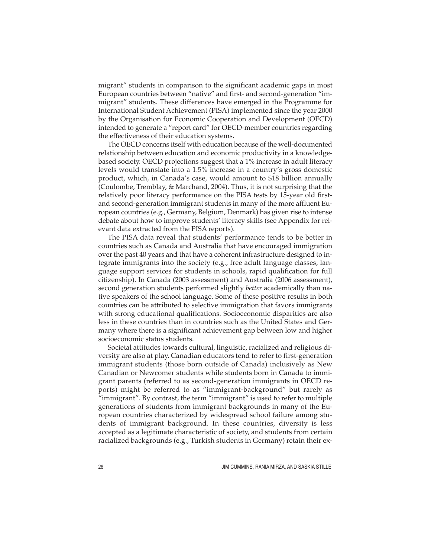migrant" students in comparison to the significant academic gaps in most European countries between "native" and first- and second-generation "immigrant" students. These differences have emerged in the Programme for International Student Achievement (PISA) implemented since the year 2000 by the Organisation for Economic Cooperation and Development (OECD) intended to generate a "report card" for OECD-member countries regarding the effectiveness of their education systems.

The OECD concerns itself with education because of the well-documented relationship between education and economic productivity in a knowledgebased society. OECD projections suggest that a 1% increase in adult literacy levels would translate into a 1.5% increase in a country's gross domestic product, which, in Canada's case, would amount to \$18 billion annually (Coulombe, Tremblay, & Marchand, 2004). Thus, it is not surprising that the relatively poor literacy performance on the PISA tests by 15-year old firstand second-generation immigrant students in many of the more affluent European countries (e.g., Germany, Belgium, Denmark) has given rise to intense debate about how to improve students' literacy skills (see Appendix for relevant data extracted from the PISA reports).

The PISA data reveal that students' performance tends to be better in countries such as Canada and Australia that have encouraged immigration over the past 40 years and that have a coherent infrastructure designed to integrate immigrants into the society (e.g., free adult language classes, language support services for students in schools, rapid qualification for full citizenship). In Canada (2003 assessment) and Australia (2006 assessment), second generation students performed slightly *better* academically than native speakers of the school language. Some of these positive results in both countries can be attributed to selective immigration that favors immigrants with strong educational qualifications. Socioeconomic disparities are also less in these countries than in countries such as the United States and Germany where there is a significant achievement gap between low and higher socioeconomic status students.

Societal attitudes towards cultural, linguistic, racialized and religious diversity are also at play. Canadian educators tend to refer to first-generation immigrant students (those born outside of Canada) inclusively as New Canadian or Newcomer students while students born in Canada to immigrant parents (referred to as second-generation immigrants in OECD reports) might be referred to as "immigrant-background" but rarely as "immigrant". By contrast, the term "immigrant" is used to refer to multiple generations of students from immigrant backgrounds in many of the European countries characterized by widespread school failure among students of immigrant background. In these countries, diversity is less accepted as a legitimate characteristic of society, and students from certain racialized backgrounds (e.g., Turkish students in Germany) retain their ex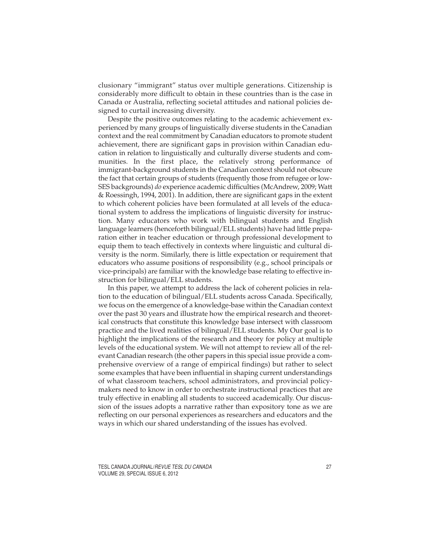clusionary "immigrant" status over multiple generations. Citizenship is considerably more difficult to obtain in these countries than is the case in Canada or Australia, reflecting societal attitudes and national policies designed to curtail increasing diversity.

Despite the positive outcomes relating to the academic achievement experienced by many groups of linguistically diverse students in the Canadian context and the real commitment by Canadian educators to promote student achievement, there are significant gaps in provision within Canadian education in relation to linguistically and culturally diverse students and communities. In the first place, the relatively strong performance of immigrant-background students in the Canadian context should not obscure the fact that certain groups of students (frequently those from refugee or low-SES backgrounds) *do* experience academic difficulties (McAndrew, 2009; Watt & Roessingh, 1994, 2001). In addition, there are significant gaps in the extent to which coherent policies have been formulated at all levels of the educational system to address the implications of linguistic diversity for instruction. Many educators who work with bilingual students and English language learners (henceforth bilingual/ELL students) have had little preparation either in teacher education or through professional development to equip them to teach effectively in contexts where linguistic and cultural diversity is the norm. Similarly, there is little expectation or requirement that educators who assume positions of responsibility (e.g., school principals or vice-principals) are familiar with the knowledge base relating to effective instruction for bilingual/ELL students.

In this paper, we attempt to address the lack of coherent policies in relation to the education of bilingual/ELL students across Canada. Specifically, we focus on the emergence of a knowledge-base within the Canadian context over the past 30 years and illustrate how the empirical research and theoretical constructs that constitute this knowledge base intersect with classroom practice and the lived realities of bilingual/ELL students. My Our goal is to highlight the implications of the research and theory for policy at multiple levels of the educational system. We will not attempt to review all of the relevant Canadian research (the other papers in this special issue provide a comprehensive overview of a range of empirical findings) but rather to select some examples that have been influential in shaping current understandings of what classroom teachers, school administrators, and provincial policymakers need to know in order to orchestrate instructional practices that are truly effective in enabling all students to succeed academically. Our discussion of the issues adopts a narrative rather than expository tone as we are reflecting on our personal experiences as researchers and educators and the ways in which our shared understanding of the issues has evolved.

TESL CANADA JOURNAL/REVUE TESL DU CANADA 27 VOLUME 29, SPECIAL ISSUE 6, 2012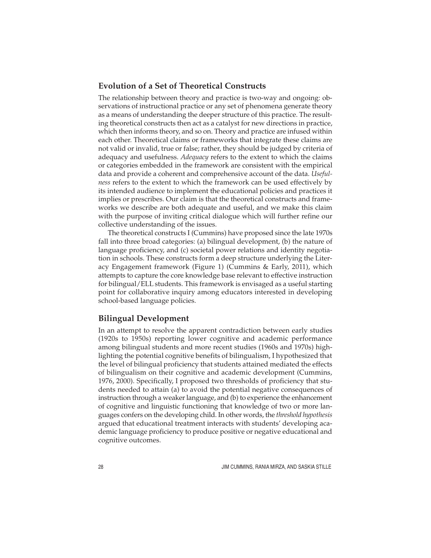## **Evolution of a Set of Theoretical Constructs**

The relationship between theory and practice is two-way and ongoing: observations of instructional practice or any set of phenomena generate theory as a means of understanding the deeper structure of this practice. The resulting theoretical constructs then act as a catalyst for new directions in practice, which then informs theory, and so on. Theory and practice are infused within each other. Theoretical claims or frameworks that integrate these claims are not valid or invalid, true or false; rather, they should be judged by criteria of adequacy and usefulness. *Adequacy* refers to the extent to which the claims or categories embedded in the framework are consistent with the empirical data and provide a coherent and comprehensive account of the data. *Usefulness* refers to the extent to which the framework can be used effectively by its intended audience to implement the educational policies and practices it implies or prescribes. Our claim is that the theoretical constructs and frameworks we describe are both adequate and useful, and we make this claim with the purpose of inviting critical dialogue which will further refine our collective understanding of the issues.

The theoretical constructs I (Cummins) have proposed since the late 1970s fall into three broad categories: (a) bilingual development, (b) the nature of language proficiency, and (c) societal power relations and identity negotiation in schools. These constructs form a deep structure underlying the Literacy Engagement framework (Figure 1) (Cummins & Early, 2011), which attempts to capture the core knowledge base relevant to effective instruction for bilingual/ELL students. This framework is envisaged as a useful starting point for collaborative inquiry among educators interested in developing school-based language policies.

## **Bilingual Development**

In an attempt to resolve the apparent contradiction between early studies (1920s to 1950s) reporting lower cognitive and academic performance among bilingual students and more recent studies (1960s and 1970s) highlighting the potential cognitive benefits of bilingualism, I hypothesized that the level of bilingual proficiency that students attained mediated the effects of bilingualism on their cognitive and academic development (Cummins, 1976, 2000). Specifically, I proposed two thresholds of proficiency that students needed to attain (a) to avoid the potential negative consequences of instruction through a weaker language, and (b) to experience the enhancement of cognitive and linguistic functioning that knowledge of two or more languages confers on the developing child. In other words, the *threshold hypothesis* argued that educational treatment interacts with students' developing academic language proficiency to produce positive or negative educational and cognitive outcomes.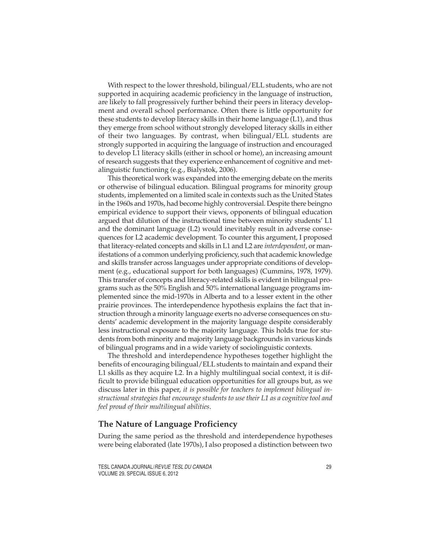With respect to the lower threshold, bilingual/ELL students, who are not supported in acquiring academic proficiency in the language of instruction, are likely to fall progressively further behind their peers in literacy development and overall school performance. Often there is little opportunity for these students to develop literacy skills in their home language (L1), and thus they emerge from school without strongly developed literacy skills in either of their two languages. By contrast, when bilingual/ELL students are strongly supported in acquiring the language of instruction and encouraged to develop L1 literacy skills (either in school or home), an increasing amount of research suggests that they experience enhancement of cognitive and metalinguistic functioning (e.g., Bialystok, 2006).

This theoretical work was expanded into the emerging debate on the merits or otherwise of bilingual education. Bilingual programs for minority group students, implemented on a limited scale in contexts such as the United States in the 1960s and 1970s, had become highly controversial. Despite there beingno empirical evidence to support their views, opponents of bilingual education argued that dilution of the instructional time between minority students' L1 and the dominant language (L2) would inevitably result in adverse consequences for L2 academic development. To counter this argument, I proposed that literacy-related concepts and skills in L1 and L2 are *interdependent*, or manifestations of a common underlying proficiency, such that academic knowledge and skills transfer across languages under appropriate conditions of development (e.g., educational support for both languages) (Cummins, 1978, 1979). This transfer of concepts and literacy-related skills is evident in bilingual programs such as the 50% English and 50% international language programs implemented since the mid-1970s in Alberta and to a lesser extent in the other prairie provinces. The interdependence hypothesis explains the fact that instruction through a minority language exerts no adverse consequences on students' academic development in the majority language despite considerably less instructional exposure to the majority language. This holds true for students from both minority and majority language backgrounds in various kinds of bilingual programs and in a wide variety of sociolinguistic contexts.

The threshold and interdependence hypotheses together highlight the benefits of encouraging bilingual/ELL students to maintain and expand their L1 skills as they acquire L2. In a highly multilingual social context, it is difficult to provide bilingual education opportunities for all groups but, as we discuss later in this paper, *it is possible for teachers to implement bilingual instructional strategies that encourage students to use their L1 as a cognitive tool and feel proud of their multilingual abilities*.

## **The Nature of Language Proficiency**

During the same period as the threshold and interdependence hypotheses were being elaborated (late 1970s), I also proposed a distinction between two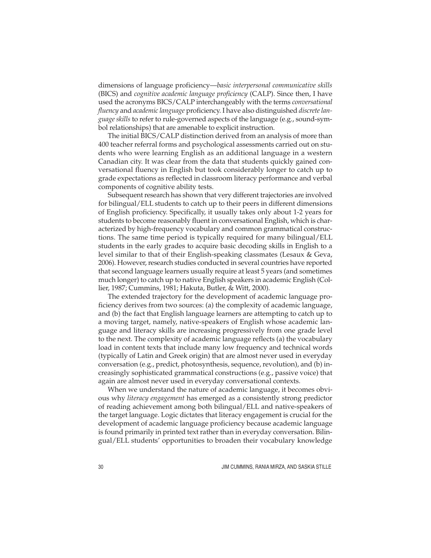dimensions of language proficiency—*basic interpersonal communicative skills* (BICS) and *cognitive academic language proficiency* (CALP). Since then, I have used the acronyms BICS/CALP interchangeably with the terms *conversational fluency* and *academic language* proficiency. I have also distinguished *discrete language skills* to refer to rule-governed aspects of the language (e.g., sound-symbol relationships) that are amenable to explicit instruction.

The initial BICS/CALP distinction derived from an analysis of more than 400 teacher referral forms and psychological assessments carried out on students who were learning English as an additional language in a western Canadian city. It was clear from the data that students quickly gained conversational fluency in English but took considerably longer to catch up to grade expectations as reflected in classroom literacy performance and verbal components of cognitive ability tests.

Subsequent research has shown that very different trajectories are involved for bilingual/ELL students to catch up to their peers in different dimensions of English proficiency. Specifically, it usually takes only about 1-2 years for students to become reasonably fluent in conversational English, which is characterized by high-frequency vocabulary and common grammatical constructions. The same time period is typically required for many bilingual/ELL students in the early grades to acquire basic decoding skills in English to a level similar to that of their English-speaking classmates (Lesaux & Geva, 2006). However, research studies conducted in several countries have reported that second language learners usually require at least 5 years (and sometimes much longer) to catch up to native English speakers in academic English (Collier, 1987; Cummins, 1981; Hakuta, Butler, & Witt, 2000).

The extended trajectory for the development of academic language proficiency derives from two sources: (a) the complexity of academic language, and (b) the fact that English language learners are attempting to catch up to a moving target, namely, native-speakers of English whose academic language and literacy skills are increasing progressively from one grade level to the next. The complexity of academic language reflects (a) the vocabulary load in content texts that include many low frequency and technical words (typically of Latin and Greek origin) that are almost never used in everyday conversation (e.g., predict, photosynthesis, sequence, revolution), and (b) increasingly sophisticated grammatical constructions (e.g., passive voice) that again are almost never used in everyday conversational contexts.

When we understand the nature of academic language, it becomes obvious why *literacy engagement* has emerged as a consistently strong predictor of reading achievement among both bilingual/ELL and native-speakers of the target language. Logic dictates that literacy engagement is crucial for the development of academic language proficiency because academic language is found primarily in printed text rather than in everyday conversation. Bilingual/ELL students' opportunities to broaden their vocabulary knowledge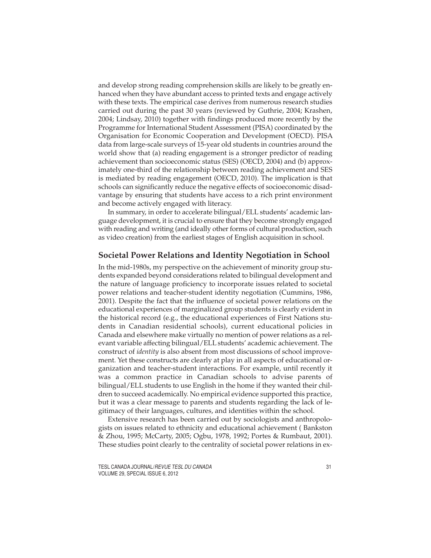and develop strong reading comprehension skills are likely to be greatly enhanced when they have abundant access to printed texts and engage actively with these texts. The empirical case derives from numerous research studies carried out during the past 30 years (reviewed by Guthrie, 2004; Krashen, 2004; Lindsay, 2010) together with findings produced more recently by the Programme for International Student Assessment (PISA) coordinated by the Organisation for Economic Cooperation and Development (OECD). PISA data from large-scale surveys of 15-year old students in countries around the world show that (a) reading engagement is a stronger predictor of reading achievement than socioeconomic status (SES) (OECD, 2004) and (b) approximately one-third of the relationship between reading achievement and SES is mediated by reading engagement (OECD, 2010). The implication is that schools can significantly reduce the negative effects of socioeconomic disadvantage by ensuring that students have access to a rich print environment and become actively engaged with literacy.

In summary, in order to accelerate bilingual/ELL students' academic language development, it is crucial to ensure that they become strongly engaged with reading and writing (and ideally other forms of cultural production, such as video creation) from the earliest stages of English acquisition in school.

## **Societal Power Relations and Identity Negotiation in School**

In the mid-1980s, my perspective on the achievement of minority group students expanded beyond considerations related to bilingual development and the nature of language proficiency to incorporate issues related to societal power relations and teacher-student identity negotiation (Cummins, 1986, 2001). Despite the fact that the influence of societal power relations on the educational experiences of marginalized group students is clearly evident in the historical record (e.g., the educational experiences of First Nations students in Canadian residential schools), current educational policies in Canada and elsewhere make virtually no mention of power relations as a relevant variable affecting bilingual/ELL students' academic achievement. The construct of *identity* is also absent from most discussions of school improvement. Yet these constructs are clearly at play in all aspects of educational organization and teacher-student interactions. For example, until recently it was a common practice in Canadian schools to advise parents of bilingual/ELL students to use English in the home if they wanted their children to succeed academically. No empirical evidence supported this practice, but it was a clear message to parents and students regarding the lack of legitimacy of their languages, cultures, and identities within the school.

Extensive research has been carried out by sociologists and anthropologists on issues related to ethnicity and educational achievement ( Bankston & Zhou, 1995; McCarty, 2005; Ogbu, 1978, 1992; Portes & Rumbaut, 2001). These studies point clearly to the centrality of societal power relations in ex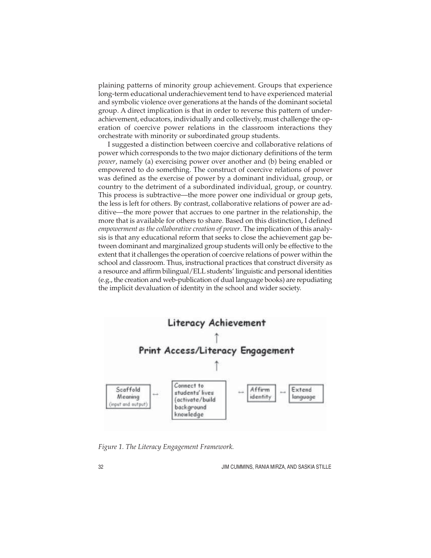plaining patterns of minority group achievement. Groups that experience long-term educational underachievement tend to have experienced material and symbolic violence over generations at the hands of the dominant societal group. A direct implication is that in order to reverse this pattern of underachievement, educators, individually and collectively, must challenge the operation of coercive power relations in the classroom interactions they orchestrate with minority or subordinated group students.

I suggested a distinction between coercive and collaborative relations of power which corresponds to the two major dictionary definitions of the term *power*, namely (a) exercising power over another and (b) being enabled or empowered to do something. The construct of coercive relations of power was defined as the exercise of power by a dominant individual, group, or country to the detriment of a subordinated individual, group, or country. This process is subtractive—the more power one individual or group gets, the less is left for others. By contrast, collaborative relations of power are additive—the more power that accrues to one partner in the relationship, the more that is available for others to share. Based on this distinction, I defined *empowerment as the collaborative creation of power*. The implication of this analysis is that any educational reform that seeks to close the achievement gap between dominant and marginalized group students will only be effective to the extent that it challenges the operation of coercive relations of power within the school and classroom. Thus, instructional practices that construct diversity as a resource and affirm bilingual/ELL students' linguistic and personal identities (e.g., the creation and web-publication of dual language books) are repudiating the implicit devaluation of identity in the school and wider society.



*Figure 1. The Literacy Engagement Framework.*

32 JIM CUMMINS, RANIA MIRZA, AND SASKIA STILLE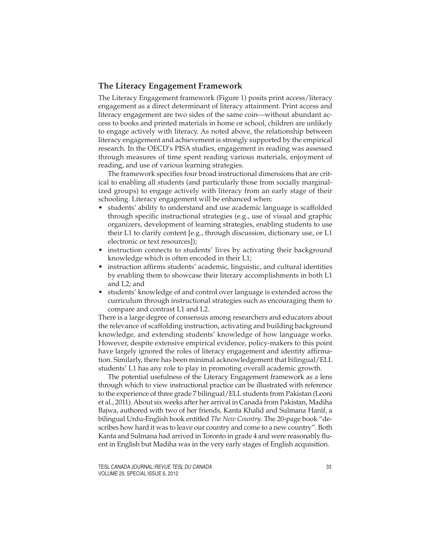## **The Literacy Engagement Framework**

The Literacy Engagement framework (Figure 1) posits print access/literacy engagement as a direct determinant of literacy attainment. Print access and literacy engagement are two sides of the same coin—without abundant access to books and printed materials in home or school, children are unlikely to engage actively with literacy. As noted above, the relationship between literacy engagement and achievement is strongly supported by the empirical research. In the OECD's PISA studies, engagement in reading was assessed through measures of time spent reading various materials, enjoyment of reading, and use of various learning strategies.

The framework specifies four broad instructional dimensions that are critical to enabling all students (and particularly those from socially marginalized groups) to engage actively with literacy from an early stage of their schooling. Literacy engagement will be enhanced when:

- students' ability to understand and use academic language is scaffolded through specific instructional strategies (e.g., use of visual and graphic organizers, development of learning strategies, enabling students to use their L1 to clarify content [e.g., through discussion, dictionary use, or L1 electronic or text resources]);
- instruction connects to students' lives by activating their background knowledge which is often encoded in their L1;
- instruction affirms students' academic, linguistic, and cultural identities by enabling them to showcase their literary accomplishments in both L1 and L2; and
- students' knowledge of and control over language is extended across the curriculum through instructional strategies such as encouraging them to compare and contrast L1 and L2.

There is a large degree of consensus among researchers and educators about the relevance of scaffolding instruction, activating and building background knowledge, and extending students' knowledge of how language works. However, despite extensive empirical evidence, policy-makers to this point have largely ignored the roles of literacy engagement and identity affirmation. Similarly, there has been minimal acknowledgement that bilingual/ELL students' L1 has any role to play in promoting overall academic growth.

The potential usefulness of the Literacy Engagement framework as a lens through which to view instructional practice can be illustrated with reference to the experience of three grade 7 bilingual/ELL students from Pakistan (Leoni et al., 2011). About six weeks after her arrival in Canada from Pakistan, Madiha Bajwa, authored with two of her friends, Kanta Khalid and Sulmana Hanif, a bilingual Urdu-English book entitled *The New Country*. The 20-page book "describes how hard it was to leave our country and come to a new country". Both Kanta and Sulmana had arrived in Toronto in grade 4 and were reasonably fluent in English but Madiha was in the very early stages of English acquisition.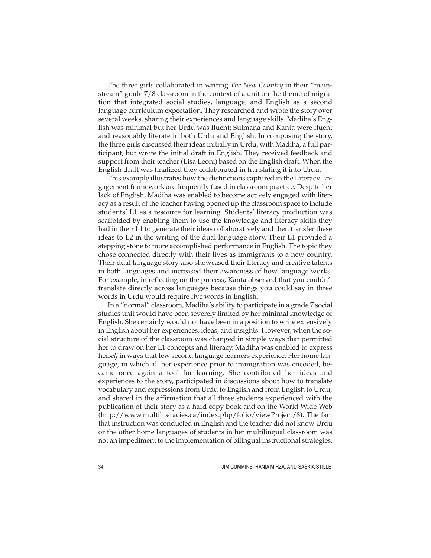The three girls collaborated in writing *The New Country* in their "mainstream" grade 7/8 classroom in the context of a unit on the theme of migration that integrated social studies, language, and English as a second language curriculum expectation. They researched and wrote the story over several weeks, sharing their experiences and language skills. Madiha's English was minimal but her Urdu was fluent; Sulmana and Kanta were fluent and reasonably literate in both Urdu and English. In composing the story, the three girls discussed their ideas initially in Urdu, with Madiha, a full participant, but wrote the initial draft in English. They received feedback and support from their teacher (Lisa Leoni) based on the English draft. When the English draft was finalized they collaborated in translating it into Urdu.

This example illustrates how the distinctions captured in the Literacy Engagement framework are frequently fused in classroom practice. Despite her lack of English, Madiha was enabled to become actively engaged with literacy as a result of the teacher having opened up the classroom space to include students' L1 as a resource for learning. Students' literacy production was scaffolded by enabling them to use the knowledge and literacy skills they had in their L1 to generate their ideas collaboratively and then transfer these ideas to L2 in the writing of the dual language story. Their L1 provided a stepping stone to more accomplished performance in English. The topic they chose connected directly with their lives as immigrants to a new country. Their dual language story also showcased their literacy and creative talents in both languages and increased their awareness of how language works. For example, in reflecting on the process, Kanta observed that you couldn't translate directly across languages because things you could say in three words in Urdu would require five words in English.

In a "normal" classroom, Madiha's ability to participate in a grade 7 social studies unit would have been severely limited by her minimal knowledge of English. She certainly would not have been in a position to write extensively in English about her experiences, ideas, and insights. However, when the social structure of the classroom was changed in simple ways that permitted her to draw on her L1 concepts and literacy, Madiha was enabled to express her*self* in ways that few second language learners experience. Her home language, in which all her experience prior to immigration was encoded, became once again a tool for learning. She contributed her ideas and experiences to the story, participated in discussions about how to translate vocabulary and expressions from Urdu to English and from English to Urdu, and shared in the affirmation that all three students experienced with the publication of their story as a hard copy book and on the World Wide Web (http://www.multiliteracies.ca/index.php/folio/viewProject/8). The fact that instruction was conducted in English and the teacher did not know Urdu or the other home languages of students in her multilingual classroom was not an impediment to the implementation of bilingual instructional strategies.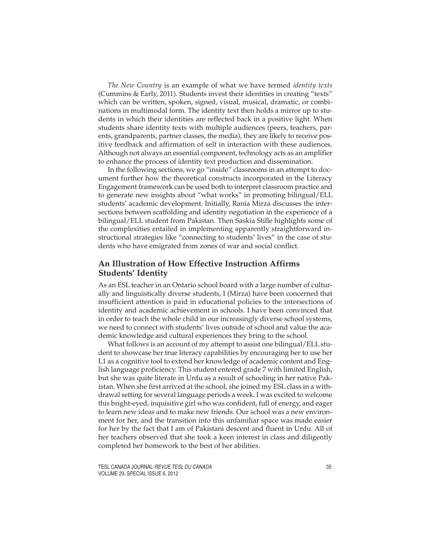*The New Country* is an example of what we have termed *identity texts* (Cummins & Early, 2011). Students invest their identities in creating "texts" which can be written, spoken, signed, visual, musical, dramatic, or combinations in multimodal form. The identity text then holds a mirror up to students in which their identities are reflected back in a positive light. When students share identity texts with multiple audiences (peers, teachers, parents, grandparents, partner classes, the media), they are likely to receive positive feedback and affirmation of self in interaction with these audiences. Although not always an essential component, technology acts as an amplifier to enhance the process of identity text production and dissemination.

In the following sections, we go "inside" classrooms in an attempt to document further how the theoretical constructs incorporated in the Literacy Engagement framework can be used both to interpret classroom practice and to generate new insights about "what works" in promoting bilingual/ELL students' academic development. Initially, Rania Mirza discusses the intersections between scaffolding and identity negotiation in the experience of a bilingual/ELL student from Pakistan. Then Saskia Stille highlights some of the complexities entailed in implementing apparently straightforward instructional strategies like "connecting to students' lives" in the case of students who have emigrated from zones of war and social conflict.

## **An Illustration of How Effective Instruction Affirms Students' Identity**

As an ESL teacher in an Ontario school board with a large number of culturally and linguistically diverse students, I (Mirza) have been concerned that insufficient attention is paid in educational policies to the intersections of identity and academic achievement in schools. I have been convinced that in order to teach the whole child in our increasingly diverse school systems, we need to connect with students' lives outside of school and value the academic knowledge and cultural experiences they bring to the school.

What follows is an account of my attempt to assist one bilingual/ELL student to showcase her true literacy capabilities by encouraging her to use her L1 as a cognitive tool to extend her knowledge of academic content and English language proficiency. This student entered grade 7 with limited English, but she was quite literate in Urdu as a result of schooling in her native Pakistan. When she first arrived at the school, she joined my ESL class in a withdrawal setting for several language periods a week. I was excited to welcome this bright-eyed, inquisitive girl who was confident, full of energy, and eager to learn new ideas and to make new friends. Our school was a new environment for her, and the transition into this unfamiliar space was made easier for her by the fact that I am of Pakistani descent and fluent in Urdu. All of her teachers observed that she took a keen interest in class and diligently completed her homework to the best of her abilities.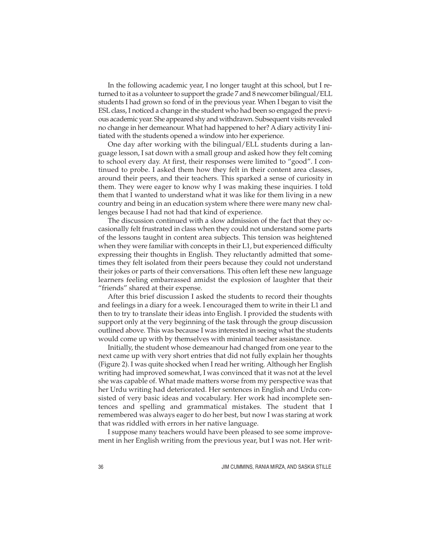In the following academic year, I no longer taught at this school, but I returned to it as a volunteer to support the grade 7 and 8 newcomer bilingual/ELL students I had grown so fond of in the previous year. When I began to visit the ESL class, I noticed a change in the student who had been so engaged the previous academic year. She appeared shy and withdrawn. Subsequent visits revealed no change in her demeanour. What had happened to her? A diary activity I initiated with the students opened a window into her experience.

One day after working with the bilingual/ELL students during a language lesson, I sat down with a small group and asked how they felt coming to school every day. At first, their responses were limited to "good". I continued to probe. I asked them how they felt in their content area classes, around their peers, and their teachers. This sparked a sense of curiosity in them. They were eager to know why I was making these inquiries. I told them that I wanted to understand what it was like for them living in a new country and being in an education system where there were many new challenges because I had not had that kind of experience.

The discussion continued with a slow admission of the fact that they occasionally felt frustrated in class when they could not understand some parts of the lessons taught in content area subjects. This tension was heightened when they were familiar with concepts in their L1, but experienced difficulty expressing their thoughts in English. They reluctantly admitted that sometimes they felt isolated from their peers because they could not understand their jokes or parts of their conversations. This often left these new language learners feeling embarrassed amidst the explosion of laughter that their "friends" shared at their expense.

After this brief discussion I asked the students to record their thoughts and feelings in a diary for a week. I encouraged them to write in their L1 and then to try to translate their ideas into English. I provided the students with support only at the very beginning of the task through the group discussion outlined above. This was because I was interested in seeing what the students would come up with by themselves with minimal teacher assistance.

Initially, the student whose demeanour had changed from one year to the next came up with very short entries that did not fully explain her thoughts (Figure 2). I was quite shocked when I read her writing. Although her English writing had improved somewhat, I was convinced that it was not at the level she was capable of. What made matters worse from my perspective was that her Urdu writing had deteriorated. Her sentences in English and Urdu consisted of very basic ideas and vocabulary. Her work had incomplete sentences and spelling and grammatical mistakes. The student that I remembered was always eager to do her best, but now I was staring at work that was riddled with errors in her native language.

I suppose many teachers would have been pleased to see some improvement in her English writing from the previous year, but I was not. Her writ-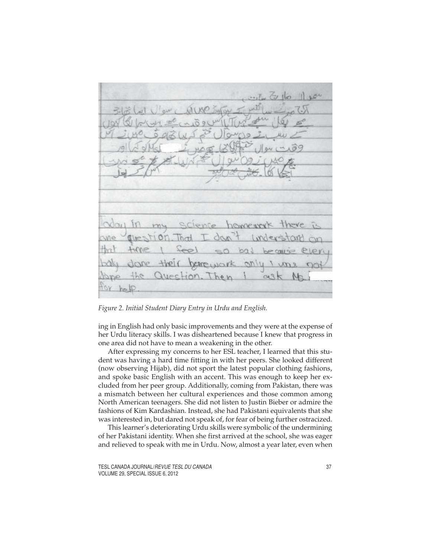IC

*Figure 2. Initial Student Diary Entry in Urdu and English.*

ing in English had only basic improvements and they were at the expense of her Urdu literacy skills. I was disheartened because I knew that progress in one area did not have to mean a weakening in the other.

After expressing my concerns to her ESL teacher, I learned that this student was having a hard time fitting in with her peers. She looked different (now observing Hijab), did not sport the latest popular clothing fashions, and spoke basic English with an accent. This was enough to keep her excluded from her peer group. Additionally, coming from Pakistan, there was a mismatch between her cultural experiences and those common among North American teenagers. She did not listen to Justin Bieber or admire the fashions of Kim Kardashian. Instead, she had Pakistani equivalents that she was interested in, but dared not speak of, for fear of being further ostracized.

This learner's deteriorating Urdu skills were symbolic of the undermining of her Pakistani identity. When she first arrived at the school, she was eager and relieved to speak with me in Urdu. Now, almost a year later, even when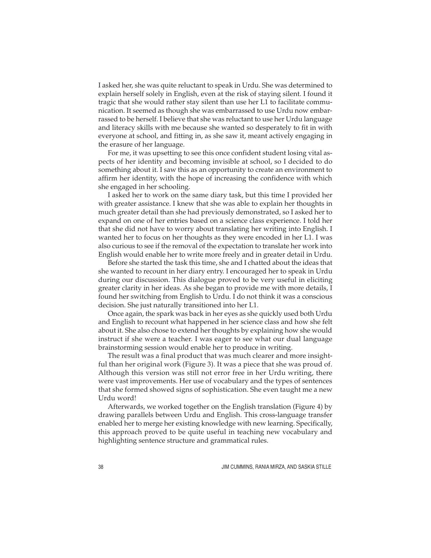I asked her, she was quite reluctant to speak in Urdu. She was determined to explain herself solely in English, even at the risk of staying silent. I found it tragic that she would rather stay silent than use her L1 to facilitate communication. It seemed as though she was embarrassed to use Urdu now embarrassed to be herself. I believe that she was reluctant to use her Urdu language and literacy skills with me because she wanted so desperately to fit in with everyone at school, and fitting in, as she saw it, meant actively engaging in the erasure of her language.

For me, it was upsetting to see this once confident student losing vital aspects of her identity and becoming invisible at school, so I decided to do something about it. I saw this as an opportunity to create an environment to affirm her identity, with the hope of increasing the confidence with which she engaged in her schooling.

I asked her to work on the same diary task, but this time I provided her with greater assistance. I knew that she was able to explain her thoughts in much greater detail than she had previously demonstrated, so I asked her to expand on one of her entries based on a science class experience. I told her that she did not have to worry about translating her writing into English. I wanted her to focus on her thoughts as they were encoded in her L1. I was also curious to see if the removal of the expectation to translate her work into English would enable her to write more freely and in greater detail in Urdu.

Before she started the task this time, she and I chatted about the ideas that she wanted to recount in her diary entry. I encouraged her to speak in Urdu during our discussion. This dialogue proved to be very useful in eliciting greater clarity in her ideas. As she began to provide me with more details, I found her switching from English to Urdu. I do not think it was a conscious decision. She just naturally transitioned into her L1.

Once again, the spark was back in her eyes as she quickly used both Urdu and English to recount what happened in her science class and how she felt about it. She also chose to extend her thoughts by explaining how she would instruct if she were a teacher. I was eager to see what our dual language brainstorming session would enable her to produce in writing.

The result was a final product that was much clearer and more insightful than her original work (Figure 3). It was a piece that she was proud of. Although this version was still not error free in her Urdu writing, there were vast improvements. Her use of vocabulary and the types of sentences that she formed showed signs of sophistication. She even taught me a new Urdu word!

Afterwards, we worked together on the English translation (Figure 4) by drawing parallels between Urdu and English. This cross-language transfer enabled her to merge her existing knowledge with new learning. Specifically, this approach proved to be quite useful in teaching new vocabulary and highlighting sentence structure and grammatical rules.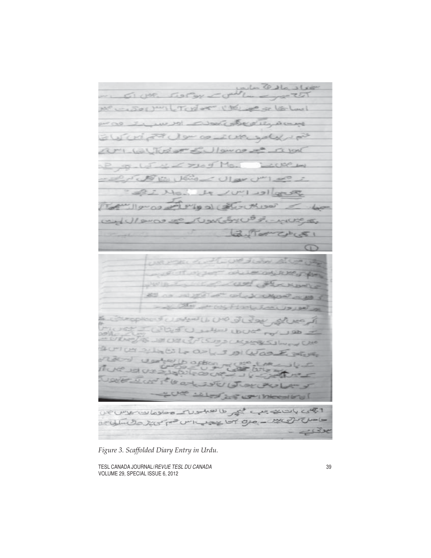تتداد عالا  $W \subset C$ Triveland U to w  $SovG$  above  $\overline{G}$  $58 - 10$  $\circ$  $CMC_{c,0}$  $100 - 50$ メヌ P  $\geq$ 10  $201$ Le اود  $\leftarrow$  $T_{\text{eff}}$  $10001630$  $\mathbb{R}$ counts JUNG  $\sim$ MUSS legate (51  $\mathbb{R}$ ŭэ rw.  $28.27$ 24 K yay.  $Q =$  $\overline{x}$  $B|U_0$ va Lev ib often 理之  $R_{\rm m}$ Jedinication Je  $C$ 221  $25 - 7$ ناسي جب في طالعة العامل معادهات علاص  $=$ archives the farmer with the -MIST بويى

*Figure 3. Scaffolded Diary Entry in Urdu.*

TESL CANADA JOURNAL/REVUE TESL DU CANADA 39 VOLUME 29, SPECIAL ISSUE 6, 2012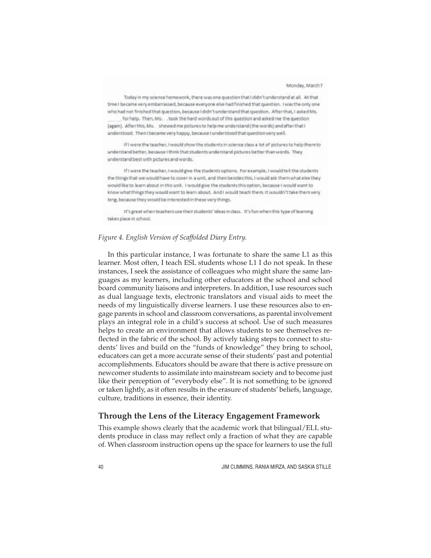#### Monday, March 7

Today in my science homework, there was one question that I didn't understand at all. At that time I became very embarrassed, because everyone else had finished that question. I was the only one who had not finished that question, because I didn't understand that question. After that, I asked Ms. for help. Then, Ms. . took the hard words out of this question and asked me the question (again). After this, Ms. showed me pictures to help me understand (the words) and after that I understood. Then I became very happy, because I understood that question very well.

If I were the teacher, I would show the students in science class a lot of pictures to help them to understand better, because I think that students understand pictures better than words. They understand best with pictures and words.

If I were the teacher, I would give the students options. For example, I would tell the students the things that we would have to cover in a unit, and then besides this, I would ask them what else they would like to learn about in this unit. I would give the students this option, because I would want to know what things they would want to learn about. And I would teach them. It wouldn't take them very long, because they would be interested in these very things.

It's great when teachers use their students' ideas in class. It's fun when this type of learning takes place in school.

#### *Figure 4. English Version of Scaffolded Diary Entry.*

In this particular instance, I was fortunate to share the same L1 as this learner. Most often, I teach ESL students whose L1 I do not speak. In these instances, I seek the assistance of colleagues who might share the same languages as my learners, including other educators at the school and school board community liaisons and interpreters. In addition, I use resources such as dual language texts, electronic translators and visual aids to meet the needs of my linguistically diverse learners. I use these resources also to engage parents in school and classroom conversations, as parental involvement plays an integral role in a child's success at school. Use of such measures helps to create an environment that allows students to see themselves reflected in the fabric of the school. By actively taking steps to connect to students' lives and build on the "funds of knowledge" they bring to school, educators can get a more accurate sense of their students' past and potential accomplishments. Educators should be aware that there is active pressure on newcomer students to assimilate into mainstream society and to become just like their perception of "everybody else". It is not something to be ignored or taken lightly, as it often results in the erasure of students' beliefs, language, culture, traditions in essence, their identity.

### **Through the Lens of the Literacy Engagement Framework**

This example shows clearly that the academic work that bilingual/ELL students produce in class may reflect only a fraction of what they are capable of. When classroom instruction opens up the space for learners to use the full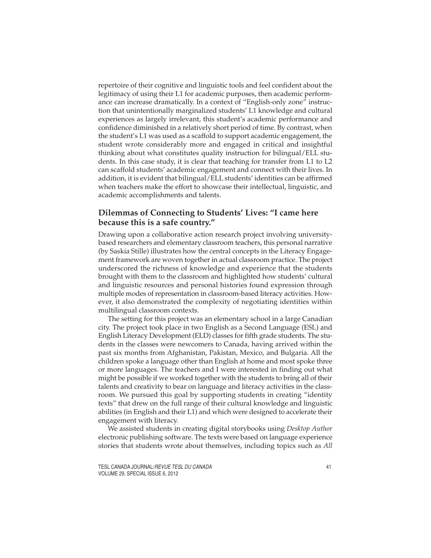repertoire of their cognitive and linguistic tools and feel confident about the legitimacy of using their L1 for academic purposes, then academic performance can increase dramatically. In a context of "English-only zone" instruction that unintentionally marginalized students' L1 knowledge and cultural experiences as largely irrelevant, this student's academic performance and confidence diminished in a relatively short period of time. By contrast, when the student's L1 was used as a scaffold to support academic engagement, the student wrote considerably more and engaged in critical and insightful thinking about what constitutes quality instruction for bilingual/ELL students. In this case study, it is clear that teaching for transfer from L1 to L2 can scaffold students' academic engagement and connect with their lives. In addition, it is evident that bilingual/ELL students' identities can be affirmed when teachers make the effort to showcase their intellectual, linguistic, and academic accomplishments and talents.

## **Dilemmas of Connecting to Students' Lives: "I came here because this is a safe country."**

Drawing upon a collaborative action research project involving universitybased researchers and elementary classroom teachers, this personal narrative (by Saskia Stille) illustrates how the central concepts in the Literacy Engagement framework are woven together in actual classroom practice. The project underscored the richness of knowledge and experience that the students brought with them to the classroom and highlighted how students' cultural and linguistic resources and personal histories found expression through multiple modes of representation in classroom-based literacy activities. However, it also demonstrated the complexity of negotiating identities within multilingual classroom contexts.

The setting for this project was an elementary school in a large Canadian city. The project took place in two English as a Second Language (ESL) and English Literacy Development (ELD) classes for fifth grade students. The students in the classes were newcomers to Canada, having arrived within the past six months from Afghanistan, Pakistan, Mexico, and Bulgaria. All the children spoke a language other than English at home and most spoke three or more languages. The teachers and I were interested in finding out what might be possible if we worked together with the students to bring all of their talents and creativity to bear on language and literacy activities in the classroom. We pursued this goal by supporting students in creating "identity texts" that drew on the full range of their cultural knowledge and linguistic abilities (in English and their L1) and which were designed to accelerate their engagement with literacy.

We assisted students in creating digital storybooks using *Desktop Author* electronic publishing software. The texts were based on language experience stories that students wrote about themselves, including topics such as *All*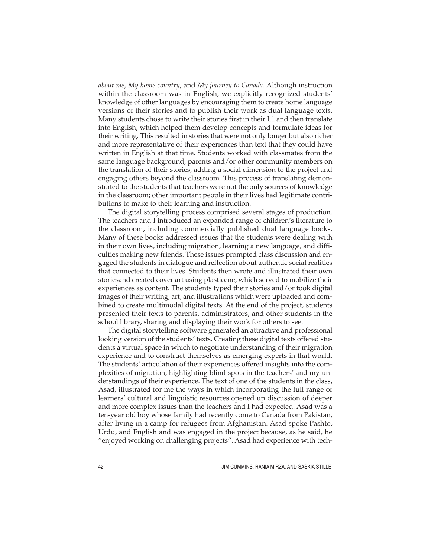*about me*, *My home country*, and *My journey to Canada*. Although instruction within the classroom was in English, we explicitly recognized students' knowledge of other languages by encouraging them to create home language versions of their stories and to publish their work as dual language texts. Many students chose to write their stories first in their L1 and then translate into English, which helped them develop concepts and formulate ideas for their writing. This resulted in stories that were not only longer but also richer and more representative of their experiences than text that they could have written in English at that time. Students worked with classmates from the same language background, parents and/or other community members on the translation of their stories, adding a social dimension to the project and engaging others beyond the classroom. This process of translating demonstrated to the students that teachers were not the only sources of knowledge in the classroom; other important people in their lives had legitimate contributions to make to their learning and instruction.

The digital storytelling process comprised several stages of production. The teachers and I introduced an expanded range of children's literature to the classroom, including commercially published dual language books. Many of these books addressed issues that the students were dealing with in their own lives, including migration, learning a new language, and difficulties making new friends. These issues prompted class discussion and engaged the students in dialogue and reflection about authentic social realities that connected to their lives. Students then wrote and illustrated their own storiesand created cover art using plasticene, which served to mobilize their experiences as content. The students typed their stories and/or took digital images of their writing, art, and illustrations which were uploaded and combined to create multimodal digital texts. At the end of the project, students presented their texts to parents, administrators, and other students in the school library, sharing and displaying their work for others to see.

The digital storytelling software generated an attractive and professional looking version of the students' texts. Creating these digital texts offered students a virtual space in which to negotiate understanding of their migration experience and to construct themselves as emerging experts in that world. The students' articulation of their experiences offered insights into the complexities of migration, highlighting blind spots in the teachers' and my understandings of their experience. The text of one of the students in the class, Asad, illustrated for me the ways in which incorporating the full range of learners' cultural and linguistic resources opened up discussion of deeper and more complex issues than the teachers and I had expected. Asad was a ten-year old boy whose family had recently come to Canada from Pakistan, after living in a camp for refugees from Afghanistan. Asad spoke Pashto, Urdu, and English and was engaged in the project because, as he said, he "enjoyed working on challenging projects". Asad had experience with tech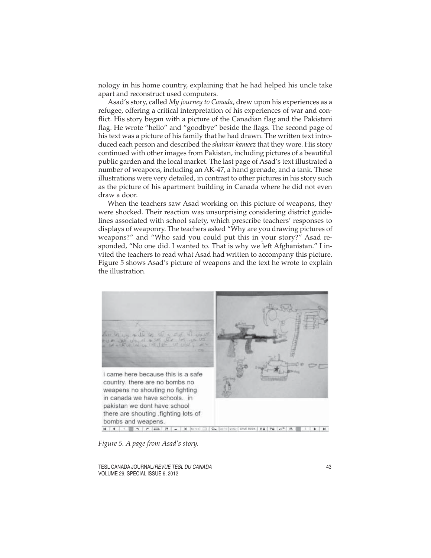nology in his home country, explaining that he had helped his uncle take apart and reconstruct used computers.

Asad's story, called *My journey to Canada*, drew upon his experiences as a refugee, offering a critical interpretation of his experiences of war and conflict. His story began with a picture of the Canadian flag and the Pakistani flag. He wrote "hello" and "goodbye" beside the flags. The second page of his text was a picture of his family that he had drawn. The written text introduced each person and described the *shalwar kameez* that they wore. His story continued with other images from Pakistan, including pictures of a beautiful public garden and the local market. The last page of Asad's text illustrated a number of weapons, including an AK-47, a hand grenade, and a tank. These illustrations were very detailed, in contrast to other pictures in his story such as the picture of his apartment building in Canada where he did not even draw a door.

When the teachers saw Asad working on this picture of weapons, they were shocked. Their reaction was unsurprising considering district guidelines associated with school safety, which prescribe teachers' responses to displays of weaponry. The teachers asked "Why are you drawing pictures of weapons?" and "Who said you could put this in your story?" Asad responded, "No one did. I wanted to. That is why we left Afghanistan." I invited the teachers to read what Asad had written to accompany this picture. Figure 5 shows Asad's picture of weapons and the text he wrote to explain the illustration.



*Figure 5. A page from Asad's story.*

TESL CANADA JOURNAL/REVUE TESL DU CANADA 43 VOLUME 29, SPECIAL ISSUE 6, 2012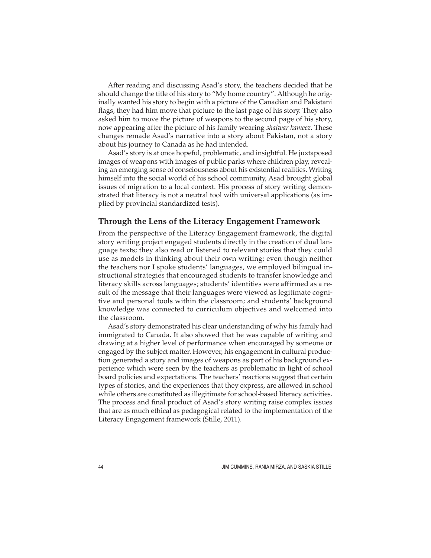After reading and discussing Asad's story, the teachers decided that he should change the title of his story to "My home country". Although he originally wanted his story to begin with a picture of the Canadian and Pakistani flags, they had him move that picture to the last page of his story. They also asked him to move the picture of weapons to the second page of his story, now appearing after the picture of his family wearing *shalwar kameez*. These changes remade Asad's narrative into a story about Pakistan, not a story about his journey to Canada as he had intended.

Asad's story is at once hopeful, problematic, and insightful. He juxtaposed images of weapons with images of public parks where children play, revealing an emerging sense of consciousness about his existential realities. Writing himself into the social world of his school community, Asad brought global issues of migration to a local context. His process of story writing demonstrated that literacy is not a neutral tool with universal applications (as implied by provincial standardized tests).

## **Through the Lens of the Literacy Engagement Framework**

From the perspective of the Literacy Engagement framework, the digital story writing project engaged students directly in the creation of dual language texts; they also read or listened to relevant stories that they could use as models in thinking about their own writing; even though neither the teachers nor I spoke students' languages, we employed bilingual instructional strategies that encouraged students to transfer knowledge and literacy skills across languages; students' identities were affirmed as a result of the message that their languages were viewed as legitimate cognitive and personal tools within the classroom; and students' background knowledge was connected to curriculum objectives and welcomed into the classroom.

Asad's story demonstrated his clear understanding of why his family had immigrated to Canada. It also showed that he was capable of writing and drawing at a higher level of performance when encouraged by someone or engaged by the subject matter. However, his engagement in cultural production generated a story and images of weapons as part of his background experience which were seen by the teachers as problematic in light of school board policies and expectations. The teachers' reactions suggest that certain types of stories, and the experiences that they express, are allowed in school while others are constituted as illegitimate for school-based literacy activities. The process and final product of Asad's story writing raise complex issues that are as much ethical as pedagogical related to the implementation of the Literacy Engagement framework (Stille, 2011).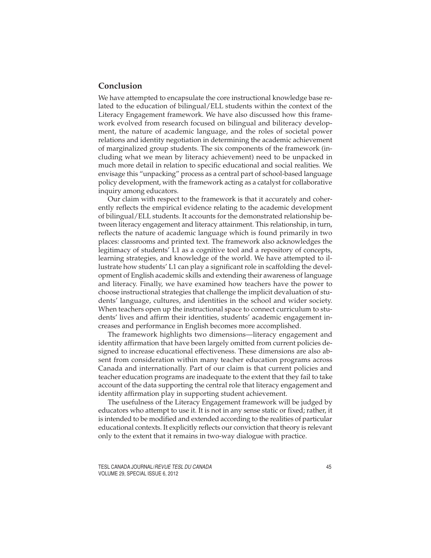## **Conclusion**

We have attempted to encapsulate the core instructional knowledge base related to the education of bilingual/ELL students within the context of the Literacy Engagement framework. We have also discussed how this framework evolved from research focused on bilingual and biliteracy development, the nature of academic language, and the roles of societal power relations and identity negotiation in determining the academic achievement of marginalized group students. The six components of the framework (including what we mean by literacy achievement) need to be unpacked in much more detail in relation to specific educational and social realities. We envisage this "unpacking" process as a central part of school-based language policy development, with the framework acting as a catalyst for collaborative inquiry among educators.

Our claim with respect to the framework is that it accurately and coherently reflects the empirical evidence relating to the academic development of bilingual/ELL students. It accounts for the demonstrated relationship between literacy engagement and literacy attainment. This relationship, in turn, reflects the nature of academic language which is found primarily in two places: classrooms and printed text. The framework also acknowledges the legitimacy of students' L1 as a cognitive tool and a repository of concepts, learning strategies, and knowledge of the world. We have attempted to illustrate how students' L1 can play a significant role in scaffolding the development of English academic skills and extending their awareness of language and literacy. Finally, we have examined how teachers have the power to choose instructional strategies that challenge the implicit devaluation of students' language, cultures, and identities in the school and wider society. When teachers open up the instructional space to connect curriculum to students' lives and affirm their identities, students' academic engagement increases and performance in English becomes more accomplished.

The framework highlights two dimensions—literacy engagement and identity affirmation that have been largely omitted from current policies designed to increase educational effectiveness. These dimensions are also absent from consideration within many teacher education programs across Canada and internationally. Part of our claim is that current policies and teacher education programs are inadequate to the extent that they fail to take account of the data supporting the central role that literacy engagement and identity affirmation play in supporting student achievement.

The usefulness of the Literacy Engagement framework will be judged by educators who attempt to use it. It is not in any sense static or fixed; rather, it is intended to be modified and extended according to the realities of particular educational contexts. It explicitly reflects our conviction that theory is relevant only to the extent that it remains in two-way dialogue with practice.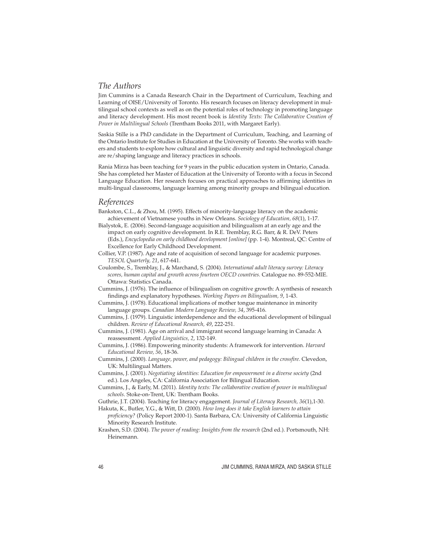## *The Authors*

Jim Cummins is a Canada Research Chair in the Department of Curriculum, Teaching and Learning of OISE/University of Toronto. His research focuses on literacy development in multilingual school contexts as well as on the potential roles of technology in promoting language and literacy development. His most recent book is *Identity Texts: The Collaborative Creation of Power in Multilingual Schools* (Trentham Books 2011, with Margaret Early).

Saskia Stille is a PhD candidate in the Department of Curriculum, Teaching, and Learning of the Ontario Institute for Studies in Education at the University of Toronto. She works with teachers and students to explore how cultural and linguistic diversity and rapid technological change are re/shaping language and literacy practices in schools.

Rania Mirza has been teaching for 9 years in the public education system in Ontario, Canada. She has completed her Master of Education at the University of Toronto with a focus in Second Language Education. Her research focuses on practical approaches to affirming identities in multi-lingual classrooms, language learning among minority groups and bilingual education.

#### *References*

- Bankston, C.L., & Zhou, M. (1995). Effects of minority-language literacy on the academic achievement of Vietnamese youths in New Orleans. *Sociology of Education, 68*(1), 1-17.
- Bialystok, E. (2006). Second-language acquisition and bilingualism at an early age and the impact on early cognitive development. In R.E. Tremblay, R.G. Barr, & R. DeV. Peters (Eds.), *Encyclopedia on early childhood development [online]* (pp. 1-4). Montreal, QC: Centre of Excellence for Early Childhood Development.
- Collier, V.P. (1987). Age and rate of acquisition of second language for academic purposes. *TESOL Quarterly, 21*, 617-641.
- Coulombe, S., Tremblay, J., & Marchand, S. (2004). *International adult literacy survey: Literacy scores, human capital and growth across fourteen OECD countries.* Catalogue no. 89-552-MIE. Ottawa: Statistics Canada.
- Cummins, J. (1976). The influence of bilingualism on cognitive growth: A synthesis of research findings and explanatory hypotheses. *Working Papers on Bilingualism, 9*, 1-43.
- Cummins, J. (1978). Educational implications of mother tongue maintenance in minority language groups. *Canadian Modern Language Review, 34*, 395-416.
- Cummins, J. (1979). Linguistic interdependence and the educational development of bilingual children. *Review of Educational Research, 49*, 222-251.
- Cummins, J. (1981). Age on arrival and immigrant second language learning in Canada: A reassessment. *Applied Linguistics, 2*, 132-149.
- Cummins, J. (1986). Empowering minority students: A framework for intervention. *Harvard Educational Review, 56*, 18-36.
- Cummins, J. (2000). *Language, power, and pedagogy: Bilingual children in the crossfire.* Clevedon, UK: Multilingual Matters.
- Cummins, J. (2001). *Negotiating identities: Education for empowerment in a diverse society* (2nd ed.). Los Angeles, CA: California Association for Bilingual Education.
- Cummins, J., & Early, M. (2011). *Identity texts: The collaborative creation of power in multilingual schools*. Stoke-on-Trent, UK: Trentham Books.
- Guthrie, J.T. (2004). Teaching for literacy engagement. *Journal of Literacy Research, 36*(1),1-30.
- Hakuta, K., Butler, Y.G., & Witt, D. (2000). *How long does it take English learners to attain*
- *proficiency?* (Policy Report 2000-1). Santa Barbara, CA: University of California Linguistic Minority Research Institute.
- Krashen, S.D. (2004). *The power of reading: Insights from the research* (2nd ed.). Portsmouth, NH: Heinemann.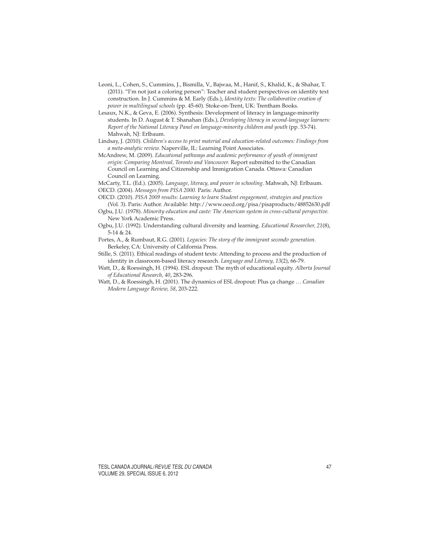- Leoni, L., Cohen, S., Cummins, J., Bismilla, V., Bajwaa, M., Hanif, S., Khalid, K., & Shahar, T. (2011). "I'm not just a coloring person": Teacher and student perspectives on identity text construction. In J. Cummins & M. Early (Eds.), *Identity texts: The collaborative creation of power in multilingual schools* (pp. 45-60). Stoke-on-Trent, UK: Trentham Books.
- Lesaux, N.K., & Geva, E. (2006). Synthesis: Development of literacy in language-minority students. In D. August & T. Shanahan (Eds.), *Developing literacy in second-language learners:* Report of the National Literacy Panel on language-minority children and youth (pp. 53-74). Mahwah, NJ: Erlbaum.
- Lindsay, J. (2010). *Children's access to print material and education-related outcomes: Findings from a meta-analytic review.* Naperville, IL: Learning Point Associates.
- McAndrew, M. (2009). *Educational pathways and academic performance of youth of immigrant origin: Comparing Montreal, Toronto and Vancouver.* Report submitted to the Canadian Council on Learning and Citizenship and Immigration Canada. Ottawa: Canadian Council on Learning.

McCarty, T.L. (Ed.). (2005). *Language, literacy, and power in schooling*. Mahwah, NJ: Erlbaum. OECD. (2004). *Messages from PISA 2000.* Paris: Author.

- OECD. (2010). *PISA 2009 results: Learning to learn Student engagement, strategies and practices* (Vol. 3). Paris: Author. Available: http://www.oecd.org/pisa/pisaproducts/48852630.pdf
- Ogbu, J.U. (1978). *Minority education and caste: The American system in cross-cultural perspective.* New York Academic Press.
- Ogbu, J.U. (1992). Understanding cultural diversity and learning. *Educational Researcher, 21*(8), 5-14 & 24.

Portes, A., & Rumbaut, R.G. (2001). *Legacies: The story of the immigrant secondv generation.* Berkeley, CA: University of California Press.

Stille, S. (2011). Ethical readings of student texts: Attending to process and the production of identity in classroom-based literacy research. *Language and Literacy, 13*(2), 66-79.

Watt, D., & Roessingh, H. (1994). ESL dropout: The myth of educational equity. *Alberta Journal of Educational Research, 40*, 283-296.

Watt, D., & Roessingh, H. (2001). The dynamics of ESL dropout: Plus ça change … *Canadian Modern Language Review, 58*, 203-222.